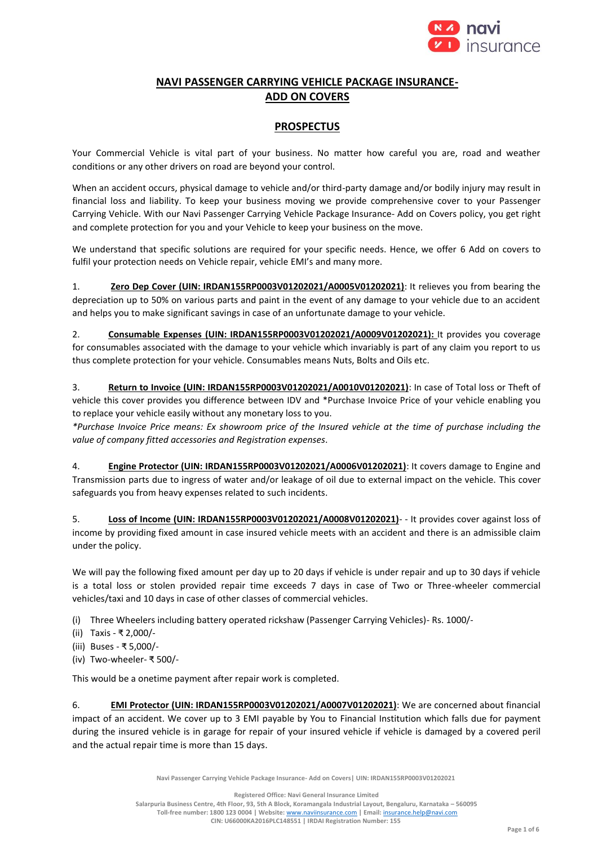

# **NAVI PASSENGER CARRYING VEHICLE PACKAGE INSURANCE-ADD ON COVERS**

## **PROSPECTUS**

Your Commercial Vehicle is vital part of your business. No matter how careful you are, road and weather conditions or any other drivers on road are beyond your control.

When an accident occurs, physical damage to vehicle and/or third-party damage and/or bodily injury may result in financial loss and liability. To keep your business moving we provide comprehensive cover to your Passenger Carrying Vehicle. With our Navi Passenger Carrying Vehicle Package Insurance- Add on Covers policy, you get right and complete protection for you and your Vehicle to keep your business on the move.

We understand that specific solutions are required for your specific needs. Hence, we offer 6 Add on covers to fulfil your protection needs on Vehicle repair, vehicle EMI's and many more.

1. **Zero Dep Cover (UIN: IRDAN155RP0003V01202021/A0005V01202021)**: It relieves you from bearing the depreciation up to 50% on various parts and paint in the event of any damage to your vehicle due to an accident and helps you to make significant savings in case of an unfortunate damage to your vehicle.

2. **Consumable Expenses (UIN: IRDAN155RP0003V01202021/A0009V01202021):** It provides you coverage for consumables associated with the damage to your vehicle which invariably is part of any claim you report to us thus complete protection for your vehicle. Consumables means Nuts, Bolts and Oils etc.

3. **Return to Invoice (UIN: IRDAN155RP0003V01202021/A0010V01202021)**: In case of Total loss or Theft of vehicle this cover provides you difference between IDV and \*Purchase Invoice Price of your vehicle enabling you to replace your vehicle easily without any monetary loss to you.

*\*Purchase Invoice Price means: Ex showroom price of the Insured vehicle at the time of purchase including the value of company fitted accessories and Registration expenses*.

4. **Engine Protector (UIN: IRDAN155RP0003V01202021/A0006V01202021)**: It covers damage to Engine and Transmission parts due to ingress of water and/or leakage of oil due to external impact on the vehicle. This cover safeguards you from heavy expenses related to such incidents.

5. **Loss of Income (UIN: IRDAN155RP0003V01202021/A0008V01202021)**- - It provides cover against loss of income by providing fixed amount in case insured vehicle meets with an accident and there is an admissible claim under the policy.

We will pay the following fixed amount per day up to 20 days if vehicle is under repair and up to 30 days if vehicle is a total loss or stolen provided repair time exceeds 7 days in case of Two or Three-wheeler commercial vehicles/taxi and 10 days in case of other classes of commercial vehicles.

- (i) Three Wheelers including battery operated rickshaw (Passenger Carrying Vehicles)- Rs. 1000/-
- (ii) Taxis ₹ 2,000/-
- (iii) Buses ₹ 5,000/-
- (iv) Two-wheeler- ₹ 500/-

This would be a onetime payment after repair work is completed.

6. **EMI Protector (UIN: IRDAN155RP0003V01202021/A0007V01202021)**: We are concerned about financial impact of an accident. We cover up to 3 EMI payable by You to Financial Institution which falls due for payment during the insured vehicle is in garage for repair of your insured vehicle if vehicle is damaged by a covered peril and the actual repair time is more than 15 days.

**Navi Passenger Carrying Vehicle Package Insurance- Add on Covers| UIN: IRDAN155RP0003V01202021**

**Registered Office: Navi General Insurance Limited**

**Salarpuria Business Centre, 4th Floor, 93, 5th A Block, Koramangala Industrial Layout, Bengaluru, Karnataka – 560095 Toll-free number: 1800 123 0004 | Website:** [www.naviinsurance.com](http://www.naviinsurance.com/) **| Email:** [insurance.help@navi.com](mailto:insurance.help@navi.com)

**CIN: U66000KA2016PLC148551 | IRDAI Registration Number: 155**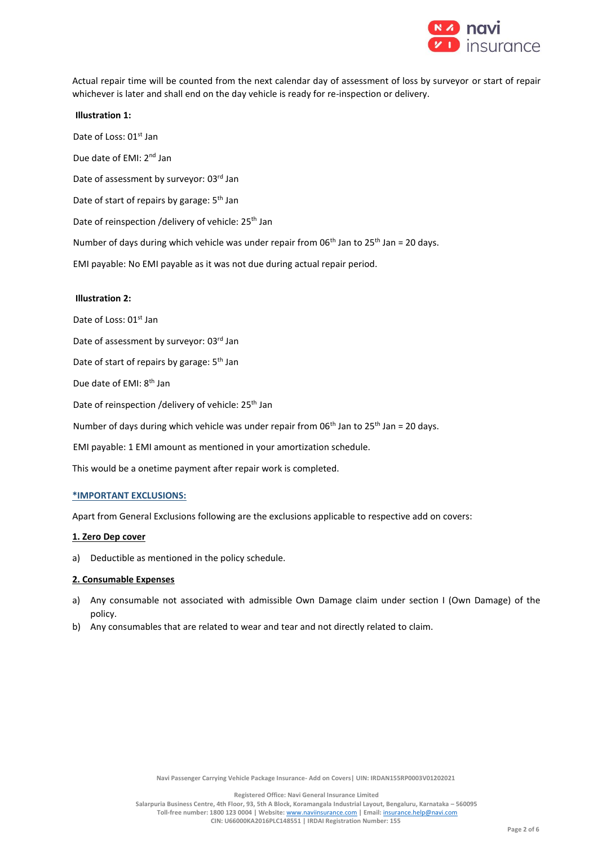

Actual repair time will be counted from the next calendar day of assessment of loss by surveyor or start of repair whichever is later and shall end on the day vehicle is ready for re-inspection or delivery.

**Illustration 1:** Date of Loss: 01<sup>st</sup> Jan Due date of EMI: 2<sup>nd</sup> Jan Date of assessment by surveyor: 03rd Jan Date of start of repairs by garage: 5<sup>th</sup> Jan Date of reinspection /delivery of vehicle: 25<sup>th</sup> Jan Number of days during which vehicle was under repair from  $06<sup>th</sup>$  Jan to  $25<sup>th</sup>$  Jan = 20 days. EMI payable: No EMI payable as it was not due during actual repair period. **Illustration 2:**

Date of Loss: 01<sup>st</sup> Jan Date of assessment by surveyor: 03rd Jan Date of start of repairs by garage: 5<sup>th</sup> Jan Due date of EMI: 8<sup>th</sup> Jan Date of reinspection /delivery of vehicle: 25<sup>th</sup> Jan Number of days during which vehicle was under repair from  $06<sup>th</sup>$  Jan to  $25<sup>th</sup>$  Jan = 20 days. EMI payable: 1 EMI amount as mentioned in your amortization schedule. This would be a onetime payment after repair work is completed.

#### **\*IMPORTANT EXCLUSIONS:**

Apart from General Exclusions following are the exclusions applicable to respective add on covers:

#### **1. Zero Dep cover**

a) Deductible as mentioned in the policy schedule.

#### **2. Consumable Expenses**

- a) Any consumable not associated with admissible Own Damage claim under section I (Own Damage) of the policy.
- b) Any consumables that are related to wear and tear and not directly related to claim.

**Navi Passenger Carrying Vehicle Package Insurance- Add on Covers| UIN: IRDAN155RP0003V01202021**

**Registered Office: Navi General Insurance Limited**

**Salarpuria Business Centre, 4th Floor, 93, 5th A Block, Koramangala Industrial Layout, Bengaluru, Karnataka – 560095 Toll-free number: 1800 123 0004 | Website:** [www.naviinsurance.com](http://www.naviinsurance.com/) **| Email:** [insurance.help@navi.com](mailto:insurance.help@navi.com) **CIN: U66000KA2016PLC148551 | IRDAI Registration Number: 155**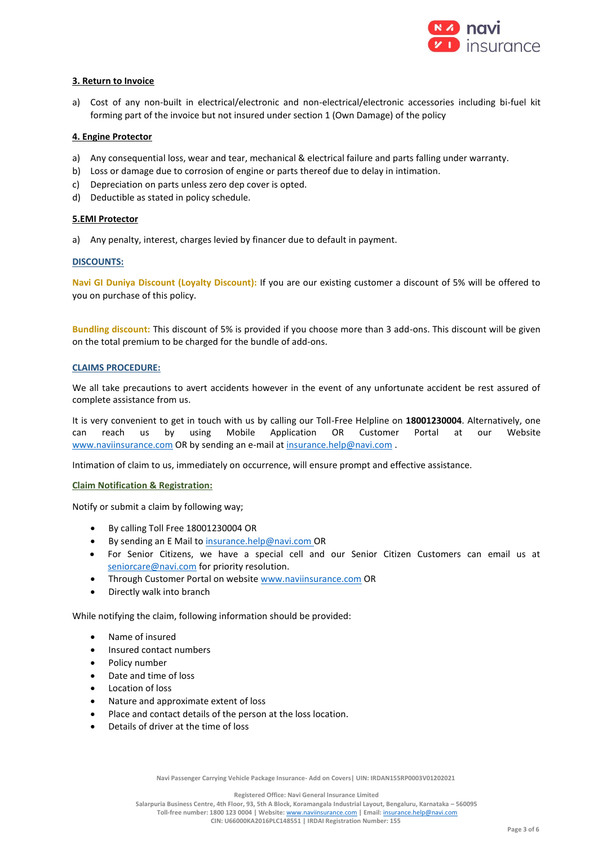

### **3. Return to Invoice**

a) Cost of any non-built in electrical/electronic and non-electrical/electronic accessories including bi-fuel kit forming part of the invoice but not insured under section 1 (Own Damage) of the policy

#### **4. Engine Protector**

- a) Any consequential loss, wear and tear, mechanical & electrical failure and parts falling under warranty.
- b) Loss or damage due to corrosion of engine or parts thereof due to delay in intimation.
- c) Depreciation on parts unless zero dep cover is opted.
- d) Deductible as stated in policy schedule.

#### **5.EMI Protector**

a) Any penalty, interest, charges levied by financer due to default in payment.

#### **DISCOUNTS:**

**Navi GI Duniya Discount (Loyalty Discount):** If you are our existing customer a discount of 5% will be offered to you on purchase of this policy.

**Bundling discount:** This discount of 5% is provided if you choose more than 3 add-ons. This discount will be given on the total premium to be charged for the bundle of add-ons.

#### **CLAIMS PROCEDURE:**

We all take precautions to avert accidents however in the event of any unfortunate accident be rest assured of complete assistance from us.

It is very convenient to get in touch with us by calling our Toll-Free Helpline on **18001230004**. Alternatively, one can reach us by using Mobile Application OR Customer Portal at our Website www.naviinsurance.com OR by sending an e-mail at [insurance.help@navi.com](mailto:insurance.help@navi.com).

Intimation of claim to us, immediately on occurrence, will ensure prompt and effective assistance.

#### **Claim Notification & Registration:**

Notify or submit a claim by following way;

- By calling Toll Free 18001230004 OR
- By sending an E Mail t[o insurance.help@navi.com](mailto:insurance.help@navi.com) OR
- For Senior Citizens, we have a special cell and our Senior Citizen Customers can email us at [seniorcare@navi.com](mailto:seniorcare@navi.com) for priority resolution.
- Through Customer Portal on website www.naviinsurance.com OR
- Directly walk into branch

While notifying the claim, following information should be provided:

- Name of insured
- Insured contact numbers
- Policy number
- Date and time of loss
- Location of loss
- Nature and approximate extent of loss
- Place and contact details of the person at the loss location.
- Details of driver at the time of loss

**Navi Passenger Carrying Vehicle Package Insurance- Add on Covers| UIN: IRDAN155RP0003V01202021**

**Registered Office: Navi General Insurance Limited**

**Salarpuria Business Centre, 4th Floor, 93, 5th A Block, Koramangala Industrial Layout, Bengaluru, Karnataka – 560095 Toll-free number: 1800 123 0004 | Website:** [www.naviinsurance.com](http://www.naviinsurance.com/) **| Email:** [insurance.help@navi.com](mailto:insurance.help@navi.com)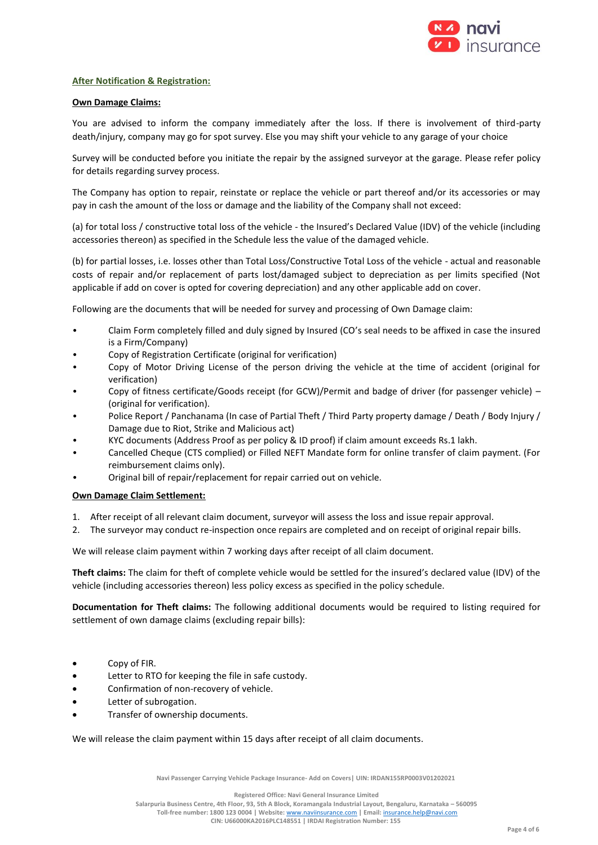

#### **After Notification & Registration:**

#### **Own Damage Claims:**

You are advised to inform the company immediately after the loss. If there is involvement of third-party death/injury, company may go for spot survey. Else you may shift your vehicle to any garage of your choice

Survey will be conducted before you initiate the repair by the assigned surveyor at the garage. Please refer policy for details regarding survey process.

The Company has option to repair, reinstate or replace the vehicle or part thereof and/or its accessories or may pay in cash the amount of the loss or damage and the liability of the Company shall not exceed:

(a) for total loss / constructive total loss of the vehicle - the Insured's Declared Value (IDV) of the vehicle (including accessories thereon) as specified in the Schedule less the value of the damaged vehicle.

(b) for partial losses, i.e. losses other than Total Loss/Constructive Total Loss of the vehicle - actual and reasonable costs of repair and/or replacement of parts lost/damaged subject to depreciation as per limits specified (Not applicable if add on cover is opted for covering depreciation) and any other applicable add on cover.

Following are the documents that will be needed for survey and processing of Own Damage claim:

- Claim Form completely filled and duly signed by Insured (CO's seal needs to be affixed in case the insured is a Firm/Company)
- Copy of Registration Certificate (original for verification)
- Copy of Motor Driving License of the person driving the vehicle at the time of accident (original for verification)
- Copy of fitness certificate/Goods receipt (for GCW)/Permit and badge of driver (for passenger vehicle) (original for verification).
- Police Report / Panchanama (In case of Partial Theft / Third Party property damage / Death / Body Injury / Damage due to Riot, Strike and Malicious act)
- KYC documents (Address Proof as per policy & ID proof) if claim amount exceeds Rs.1 lakh.
- Cancelled Cheque (CTS complied) or Filled NEFT Mandate form for online transfer of claim payment. (For reimbursement claims only).
- Original bill of repair/replacement for repair carried out on vehicle.

#### **Own Damage Claim Settlement:**

- 1. After receipt of all relevant claim document, surveyor will assess the loss and issue repair approval.
- 2. The surveyor may conduct re-inspection once repairs are completed and on receipt of original repair bills.

We will release claim payment within 7 working days after receipt of all claim document.

**Theft claims:** The claim for theft of complete vehicle would be settled for the insured's declared value (IDV) of the vehicle (including accessories thereon) less policy excess as specified in the policy schedule.

**Documentation for Theft claims:** The following additional documents would be required to listing required for settlement of own damage claims (excluding repair bills):

- Copy of FIR.
- Letter to RTO for keeping the file in safe custody.
- Confirmation of non-recovery of vehicle.
- Letter of subrogation.
- Transfer of ownership documents.

We will release the claim payment within 15 days after receipt of all claim documents.

**Navi Passenger Carrying Vehicle Package Insurance- Add on Covers| UIN: IRDAN155RP0003V01202021**

**Registered Office: Navi General Insurance Limited**

**Salarpuria Business Centre, 4th Floor, 93, 5th A Block, Koramangala Industrial Layout, Bengaluru, Karnataka – 560095 Toll-free number: 1800 123 0004 | Website:** [www.naviinsurance.com](http://www.naviinsurance.com/) **| Email:** [insurance.help@navi.com](mailto:insurance.help@navi.com)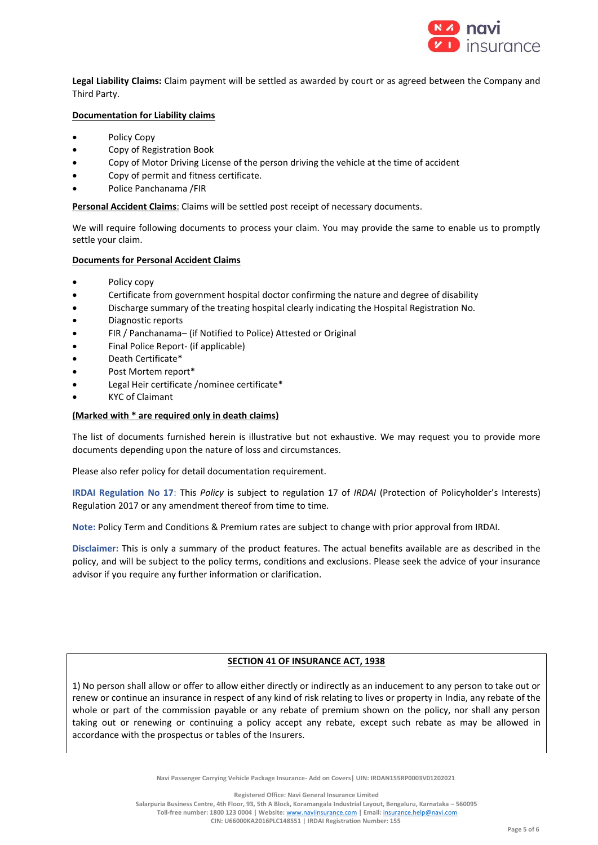

**Legal Liability Claims:** Claim payment will be settled as awarded by court or as agreed between the Company and Third Party.

#### **Documentation for Liability claims**

- Policy Copy
- Copy of Registration Book
- Copy of Motor Driving License of the person driving the vehicle at the time of accident
- Copy of permit and fitness certificate.
- Police Panchanama /FIR

**Personal Accident Claims**: Claims will be settled post receipt of necessary documents.

We will require following documents to process your claim. You may provide the same to enable us to promptly settle your claim.

#### **Documents for Personal Accident Claims**

- Policy copy
- Certificate from government hospital doctor confirming the nature and degree of disability
- Discharge summary of the treating hospital clearly indicating the Hospital Registration No.
- Diagnostic reports
- FIR / Panchanama– (if Notified to Police) Attested or Original
- Final Police Report- (if applicable)
- Death Certificate\*
- Post Mortem report\*
- Legal Heir certificate /nominee certificate\*
- KYC of Claimant

#### **(Marked with \* are required only in death claims)**

The list of documents furnished herein is illustrative but not exhaustive. We may request you to provide more documents depending upon the nature of loss and circumstances.

Please also refer policy for detail documentation requirement.

**IRDAI Regulation No 17**: This *Policy* is subject to regulation 17 of *IRDAI* (Protection of Policyholder's Interests) Regulation 2017 or any amendment thereof from time to time.

**Note:** Policy Term and Conditions & Premium rates are subject to change with prior approval from IRDAI.

**Disclaimer:** This is only a summary of the product features. The actual benefits available are as described in the policy, and will be subject to the policy terms, conditions and exclusions. Please seek the advice of your insurance advisor if you require any further information or clarification.

#### **SECTION 41 OF INSURANCE ACT, 1938**

1) No person shall allow or offer to allow either directly or indirectly as an inducement to any person to take out or renew or continue an insurance in respect of any kind of risk relating to lives or property in India, any rebate of the whole or part of the commission payable or any rebate of premium shown on the policy, nor shall any person taking out or renewing or continuing a policy accept any rebate, except such rebate as may be allowed in accordance with the prospectus or tables of the Insurers.

**Navi Passenger Carrying Vehicle Package Insurance- Add on Covers| UIN: IRDAN155RP0003V01202021**

**Registered Office: Navi General Insurance Limited**

**Salarpuria Business Centre, 4th Floor, 93, 5th A Block, Koramangala Industrial Layout, Bengaluru, Karnataka – 560095 Toll-free number: 1800 123 0004 | Website:** [www.naviinsurance.com](http://www.naviinsurance.com/) **| Email:** [insurance.help@navi.com](mailto:insurance.help@navi.com)